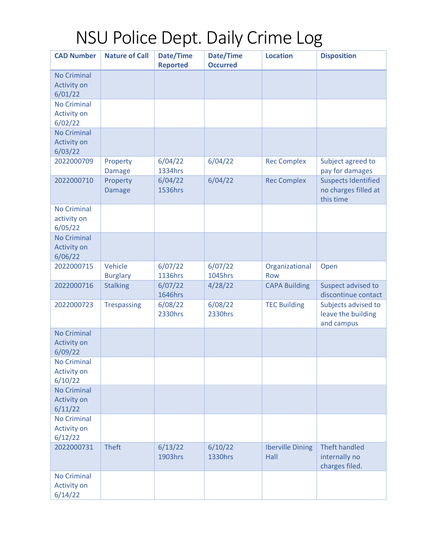## NSU Police Dept. Daily Crime Log

| <b>CAD Number</b>                                   | <b>Nature of Call</b>      | Date/Time<br><b>Reported</b> | Date/Time<br><b>Occurred</b> | <b>Location</b>                 | <b>Disposition</b>                                              |
|-----------------------------------------------------|----------------------------|------------------------------|------------------------------|---------------------------------|-----------------------------------------------------------------|
| <b>No Criminal</b><br><b>Activity on</b><br>6/01/22 |                            |                              |                              |                                 |                                                                 |
| <b>No Criminal</b><br><b>Activity on</b><br>6/02/22 |                            |                              |                              |                                 |                                                                 |
| <b>No Criminal</b><br><b>Activity on</b><br>6/03/22 |                            |                              |                              |                                 |                                                                 |
| 2022000709                                          | Property<br><b>Damage</b>  | 6/04/22<br>1334hrs           | 6/04/22                      | <b>Rec Complex</b>              | Subject agreed to<br>pay for damages                            |
| 2022000710                                          | Property<br><b>Damage</b>  | 6/04/22<br>1536hrs           | 6/04/22                      | <b>Rec Complex</b>              | <b>Suspects Identified</b><br>no charges filled at<br>this time |
| <b>No Criminal</b><br>activity on<br>6/05/22        |                            |                              |                              |                                 |                                                                 |
| <b>No Criminal</b><br><b>Activity on</b><br>6/06/22 |                            |                              |                              |                                 |                                                                 |
| 2022000715                                          | Vehicle<br><b>Burglary</b> | 6/07/22<br>1136hrs           | 6/07/22<br>1045hrs           | Organizational<br><b>Row</b>    | Open                                                            |
| 2022000716                                          | <b>Stalking</b>            | 6/07/22<br>1646hrs           | 4/28/22                      | <b>CAPA Building</b>            | Suspect advised to<br>discontinue contact                       |
| 2022000723                                          | <b>Trespassing</b>         | 6/08/22<br>2330hrs           | 6/08/22<br>2330hrs           | <b>TEC Building</b>             | Subjects advised to<br>leave the building<br>and campus         |
| <b>No Criminal</b><br><b>Activity on</b><br>6/09/22 |                            |                              |                              |                                 |                                                                 |
| <b>No Criminal</b><br><b>Activity on</b><br>6/10/22 |                            |                              |                              |                                 |                                                                 |
| <b>No Criminal</b><br><b>Activity on</b><br>6/11/22 |                            |                              |                              |                                 |                                                                 |
| <b>No Criminal</b><br><b>Activity on</b><br>6/12/22 |                            |                              |                              |                                 |                                                                 |
| 2022000731                                          | <b>Theft</b>               | 6/13/22<br>1903hrs           | 6/10/22<br>1330hrs           | <b>Iberville Dining</b><br>Hall | <b>Theft handled</b><br>internally no<br>charges filed.         |
| <b>No Criminal</b><br><b>Activity on</b><br>6/14/22 |                            |                              |                              |                                 |                                                                 |